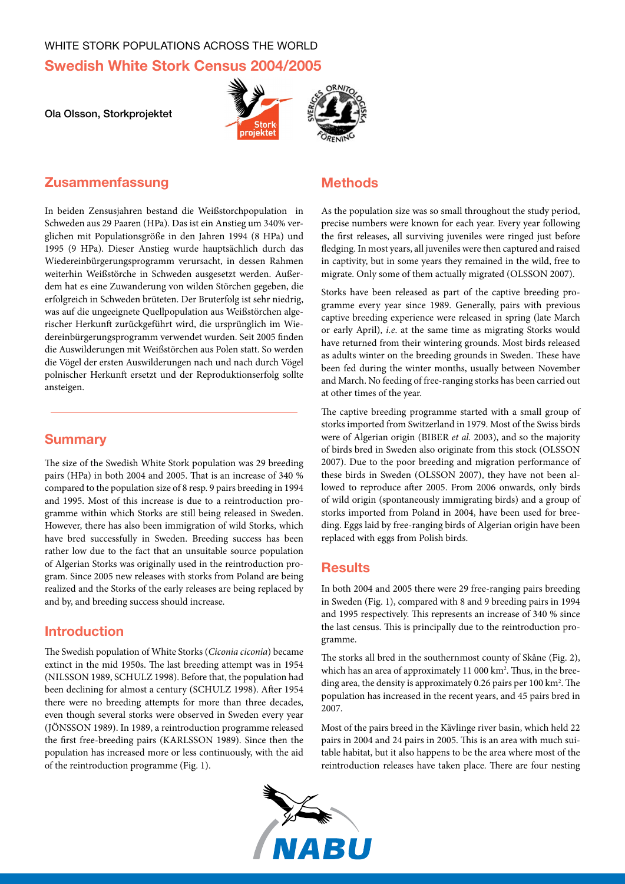# WHITE STORK POPULATIONS ACROSS THE WORLD **Swedish White Stork Census 2004/2005**

Ola Olsson, Storkprojektet





# **Zusammenfassung**

In beiden Zensusjahren bestand die Weißstorchpopulation in Schweden aus 29 Paaren (HPa). Das ist ein Anstieg um 340% verglichen mit Populationsgröße in den Jahren 1994 (8 HPa) und 1995 (9 HPa). Dieser Anstieg wurde hauptsächlich durch das Wiedereinbürgerungsprogramm verursacht, in dessen Rahmen weiterhin Weißstörche in Schweden ausgesetzt werden. Außerdem hat es eine Zuwanderung von wilden Störchen gegeben, die erfolgreich in Schweden brüteten. Der Bruterfolg ist sehr niedrig, was auf die ungeeignete Quellpopulation aus Weißstörchen algerischer Herkunft zurückgeführt wird, die ursprünglich im Wiedereinbürgerungsprogramm verwendet wurden. Seit 2005 finden die Auswilderungen mit Weißstörchen aus Polen statt. So werden die Vögel der ersten Auswilderungen nach und nach durch Vögel polnischer Herkunft ersetzt und der Reproduktionserfolg sollte ansteigen.

## **Summary**

The size of the Swedish White Stork population was 29 breeding pairs (HPa) in both 2004 and 2005. That is an increase of 340 % compared to the population size of 8 resp. 9 pairs breeding in 1994 and 1995. Most of this increase is due to a reintroduction programme within which Storks are still being released in Sweden. However, there has also been immigration of wild Storks, which have bred successfully in Sweden. Breeding success has been rather low due to the fact that an unsuitable source population of Algerian Storks was originally used in the reintroduction program. Since 2005 new releases with storks from Poland are being realized and the Storks of the early releases are being replaced by and by, and breeding success should increase.

## **Introduction**

The Swedish population of White Storks (*Ciconia ciconia*) became extinct in the mid 1950s. The last breeding attempt was in 1954 (Nilsson 1989, Schulz 1998). Before that, the population had been declining for almost a century (SCHULZ 1998). After 1954 there were no breeding attempts for more than three decades, even though several storks were observed in Sweden every year (Jönsson 1989). In 1989, a reintroduction programme released the first free-breeding pairs (KARLSSON 1989). Since then the population has increased more or less continuously, with the aid of the reintroduction programme (Fig. 1).

## **Methods**

As the population size was so small throughout the study period, precise numbers were known for each year. Every year following the first releases, all surviving juveniles were ringed just before fledging. In most years, all juveniles were then captured and raised in captivity, but in some years they remained in the wild, free to migrate. Only some of them actually migrated (OLSSON 2007).

Storks have been released as part of the captive breeding programme every year since 1989. Generally, pairs with previous captive breeding experience were released in spring (late March or early April), *i.e*. at the same time as migrating Storks would have returned from their wintering grounds. Most birds released as adults winter on the breeding grounds in Sweden. These have been fed during the winter months, usually between November and March. No feeding of free-ranging storks has been carried out at other times of the year.

The captive breeding programme started with a small group of storks imported from Switzerland in 1979. Most of the Swiss birds were of Algerian origin (BIBER et al. 2003), and so the majority of birds bred in Sweden also originate from this stock (Olsson 2007). Due to the poor breeding and migration performance of these birds in Sweden (OLSSON 2007), they have not been allowed to reproduce after 2005. From 2006 onwards, only birds of wild origin (spontaneously immigrating birds) and a group of storks imported from Poland in 2004, have been used for breeding. Eggs laid by free-ranging birds of Algerian origin have been replaced with eggs from Polish birds.

### **Results**

In both 2004 and 2005 there were 29 free-ranging pairs breeding in Sweden (Fig. 1), compared with 8 and 9 breeding pairs in 1994 and 1995 respectively. This represents an increase of 340 % since the last census. This is principally due to the reintroduction programme.

The storks all bred in the southernmost county of Skåne (Fig. 2), which has an area of approximately 11 000 km<sup>2</sup>. Thus, in the breeding area, the density is approximately 0.26 pairs per 100 km<sup>2</sup>. The population has increased in the recent years, and 45 pairs bred in 2007.

Most of the pairs breed in the Kävlinge river basin, which held 22 pairs in 2004 and 24 pairs in 2005. This is an area with much suitable habitat, but it also happens to be the area where most of the reintroduction releases have taken place. There are four nesting

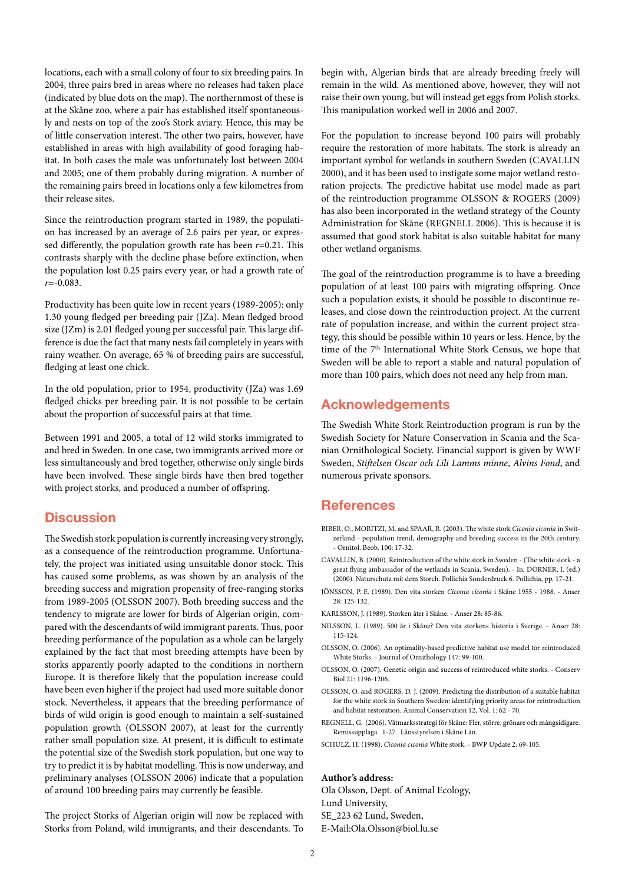locations, each with a small colony of four to six breeding pairs. In 2004, three pairs bred in areas where no releases had taken place (indicated by blue dots on the map). The northernmost of these is at the Skåne zoo, where a pair has established itself spontaneously and nests on top of the zoo's Stork aviary. Hence, this may be of little conservation interest. The other two pairs, however, have established in areas with high availability of good foraging habitat. In both cases the male was unfortunately lost between 2004 and 2005; one of them probably during migration. A number of the remaining pairs breed in locations only a few kilometres from their release sites.

Since the reintroduction program started in 1989, the population has increased by an average of 2.6 pairs per year, or expressed differently, the population growth rate has been *r*=0.21. This contrasts sharply with the decline phase before extinction, when the population lost 0.25 pairs every year, or had a growth rate of *r*=-0.083.

Productivity has been quite low in recent years (1989-2005): only 1.30 young fledged per breeding pair (JZa). Mean fledged brood size (JZm) is 2.01 fledged young per successful pair. This large difference is due the fact that many nests fail completely in years with rainy weather. On average, 65 % of breeding pairs are successful, fledging at least one chick.

In the old population, prior to 1954, productivity (JZa) was 1.69 fledged chicks per breeding pair. It is not possible to be certain about the proportion of successful pairs at that time.

Between 1991 and 2005, a total of 12 wild storks immigrated to and bred in Sweden. In one case, two immigrants arrived more or less simultaneously and bred together, otherwise only single birds have been involved. These single birds have then bred together with project storks, and produced a number of offspring.

#### **Discussion**

The Swedish stork population is currently increasing very strongly, as a consequence of the reintroduction programme. Unfortunately, the project was initiated using unsuitable donor stock. This has caused some problems, as was shown by an analysis of the breeding success and migration propensity of free-ranging storks from 1989-2005 (Olsson 2007). Both breeding success and the tendency to migrate are lower for birds of Algerian origin, compared with the descendants of wild immigrant parents. Thus, poor breeding performance of the population as a whole can be largely explained by the fact that most breeding attempts have been by storks apparently poorly adapted to the conditions in northern Europe. It is therefore likely that the population increase could have been even higher if the project had used more suitable donor stock. Nevertheless, it appears that the breeding performance of birds of wild origin is good enough to maintain a self-sustained population growth (Olsson 2007), at least for the currently rather small population size. At present, it is difficult to estimate the potential size of the Swedish stork population, but one way to try to predict it is by habitat modelling. This is now underway, and preliminary analyses (Olsson 2006) indicate that a population of around 100 breeding pairs may currently be feasible.

The project Storks of Algerian origin will now be replaced with Storks from Poland, wild immigrants, and their descendants. To begin with, Algerian birds that are already breeding freely will remain in the wild. As mentioned above, however, they will not raise their own young, but will instead get eggs from Polish storks. This manipulation worked well in 2006 and 2007.

For the population to increase beyond 100 pairs will probably require the restoration of more habitats. The stork is already an important symbol for wetlands in southern Sweden (CAVALLIN 2000), and it has been used to instigate some major wetland restoration projects. The predictive habitat use model made as part of the reintroduction programme OLSSON & ROGERS (2009) has also been incorporated in the wetland strategy of the County Administration for Skåne (REGNELL 2006). This is because it is assumed that good stork habitat is also suitable habitat for many other wetland organisms.

The goal of the reintroduction programme is to have a breeding population of at least 100 pairs with migrating offspring. Once such a population exists, it should be possible to discontinue releases, and close down the reintroduction project. At the current rate of population increase, and within the current project strategy, this should be possible within 10 years or less. Hence, by the time of the 7<sup>th</sup> International White Stork Census, we hope that Sweden will be able to report a stable and natural population of more than 100 pairs, which does not need any help from man.

### **Acknowledgements**

The Swedish White Stork Reintroduction program is run by the Swedish Society for Nature Conservation in Scania and the Scanian Ornithological Society. Financial support is given by WWF Sweden, *Stiftelsen Oscar och Lili Lamms minne*, *Alvins Fond*, and numerous private sponsors.

#### **References**

- BIBER, O., MORITZI, M. and SPAAR, R. (2003). The white stork *Ciconia ciconia* in Switzerland - population trend, demography and breeding success in the 20th century. - Ornitol. Beob. 100: 17-32.
- CAVALLIN, B. (2000). Reintroduction of the white stork in Sweden (The white stork a great flying ambassador of the wetlands in Scania, Sweden). - In: DORNER, I. (ed.) (2000). Naturschutz mit dem Storch. Pollichia Sonderdruck 6. Pollichia, pp. 17-21.
- JÖNSSON, P. E. (1989). Den vita storken *Ciconia ciconia* i Skåne 1955 1988. Anser 28: 125-132.
- KARLSSON, J. (1989). Storken åter i Skåne. Anser 28: 85-86.
- NILSSON, L. (1989). 500 år i Skåne? Den vita storkens historia i Sverige. Anser 28: 115-124.
- OLSSON, O. (2006). An optimality-based predictive habitat use model for reintroduced White Storks. - Journal of Ornithology 147: 99-100.
- OLSSON, O. (2007). Genetic origin and success of reintroduced white storks. Conserv Biol 21: 1196-1206.
- OLSSON, O. and ROGERS, D. J. (2009). Predicting the distribution of a suitable habitat for the white stork in Southern Sweden: identifying priority areas for reintroduction and habitat restoration. Animal Conservation 12, Vol. 1: 62 - 70.
- REGNELL, G. (2006). Våtmarksstrategi för Skåne: Fler, större, grönare och mångsidigare. Remissupplaga. 1-27. Länsstyrelsen i Skåne Län.
- SCHULZ, H. (1998). *Ciconia ciconia* White stork. BWP Update 2: 69-105.

#### **Author's address:**

Ola Olsson, Dept. of Animal Ecology, Lund University, SE\_223 62 Lund, Sweden,

E-Mail:Ola.Olsson@biol.lu.se